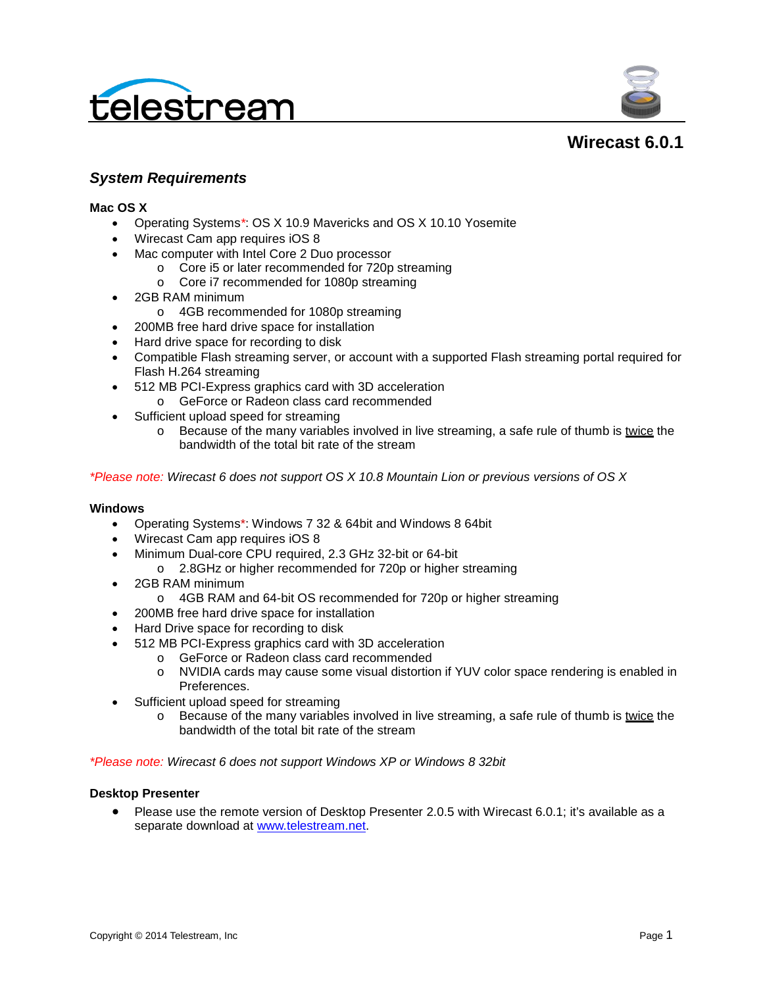



# **Wirecast 6.0.1**

## *System Requirements*

#### **Mac OS X**

- Operating Systems*\**: OS X 10.9 Mavericks and OS X 10.10 Yosemite
- Wirecast Cam app requires iOS 8
- Mac computer with Intel Core 2 Duo processor
	- o Core i5 or later recommended for 720p streaming
	- o Core i7 recommended for 1080p streaming
- 2GB RAM minimum
	- o 4GB recommended for 1080p streaming
- 200MB free hard drive space for installation
- Hard drive space for recording to disk
- Compatible Flash streaming server, or account with a supported Flash streaming portal required for Flash H.264 streaming
- 512 MB PCI-Express graphics card with 3D acceleration
	- o GeForce or Radeon class card recommended
- Sufficient upload speed for streaming
	- o Because of the many variables involved in live streaming, a safe rule of thumb is twice the bandwidth of the total bit rate of the stream

*\*Please note: Wirecast 6 does not support OS X 10.8 Mountain Lion or previous versions of OS X*

#### **Windows**

- Operating Systems\*: Windows 7 32 & 64bit and Windows 8 64bit
- Wirecast Cam app requires iOS 8
- Minimum Dual-core CPU required, 2.3 GHz 32-bit or 64-bit
	- o 2.8GHz or higher recommended for 720p or higher streaming
- 2GB RAM minimum
	- o 4GB RAM and 64-bit OS recommended for 720p or higher streaming
- 200MB free hard drive space for installation
- Hard Drive space for recording to disk
- 512 MB PCI-Express graphics card with 3D acceleration
	- o GeForce or Radeon class card recommended
	- o NVIDIA cards may cause some visual distortion if YUV color space rendering is enabled in Preferences.
- Sufficient upload speed for streaming
	- $\circ$  Because of the many variables involved in live streaming, a safe rule of thumb is twice the bandwidth of the total bit rate of the stream

*\*Please note: Wirecast 6 does not support Windows XP or Windows 8 32bit*

#### **Desktop Presenter**

• Please use the remote version of Desktop Presenter 2.0.5 with Wirecast 6.0.1; it's available as a separate download at [www.telestream.net.](http://www.telestream.net/)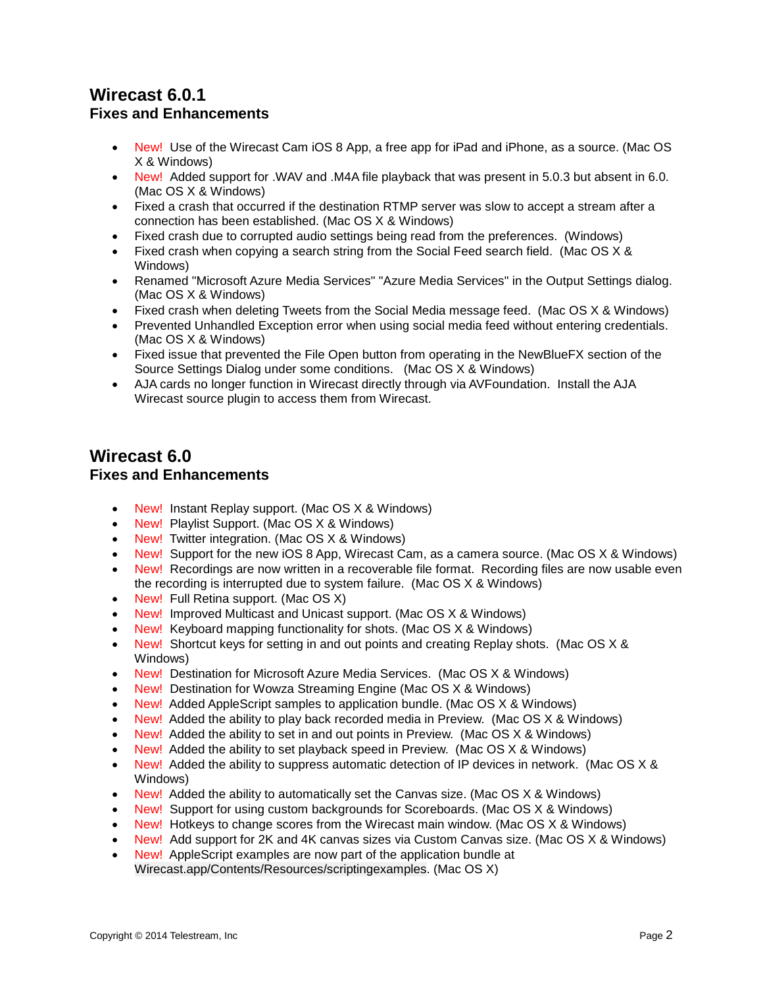# **Wirecast 6.0.1 Fixes and Enhancements**

- New! Use of the Wirecast Cam iOS 8 App, a free app for iPad and iPhone, as a source. (Mac OS X & Windows)
- New! Added support for .WAV and .M4A file playback that was present in 5.0.3 but absent in 6.0. (Mac OS X & Windows)
- Fixed a crash that occurred if the destination RTMP server was slow to accept a stream after a connection has been established. (Mac OS X & Windows)
- Fixed crash due to corrupted audio settings being read from the preferences. (Windows)
- Fixed crash when copying a search string from the Social Feed search field. (Mac OS X & Windows)
- Renamed "Microsoft Azure Media Services" "Azure Media Services" in the Output Settings dialog. (Mac OS X & Windows)
- Fixed crash when deleting Tweets from the Social Media message feed. (Mac OS X & Windows)
- Prevented Unhandled Exception error when using social media feed without entering credentials. (Mac OS X & Windows)
- Fixed issue that prevented the File Open button from operating in the NewBlueFX section of the Source Settings Dialog under some conditions. (Mac OS X & Windows)
- AJA cards no longer function in Wirecast directly through via AVFoundation. Install the AJA Wirecast source plugin to access them from Wirecast.

# **Wirecast 6.0 Fixes and Enhancements**

- New! Instant Replay support. (Mac OS X & Windows)
- New! Playlist Support. (Mac OS X & Windows)
- New! Twitter integration. (Mac OS X & Windows)
- New! Support for the new iOS 8 App, Wirecast Cam, as a camera source. (Mac OS  $\times$  & Windows)
- New! Recordings are now written in a recoverable file format. Recording files are now usable even the recording is interrupted due to system failure. (Mac OS X & Windows)
- New! Full Retina support. (Mac OS X)
- New! Improved Multicast and Unicast support. (Mac OS X & Windows)
- New! Keyboard mapping functionality for shots. (Mac OS X & Windows)
- New! Shortcut keys for setting in and out points and creating Replay shots. (Mac OS X & Windows)
- New! Destination for Microsoft Azure Media Services. (Mac OS X & Windows)
- New! Destination for Wowza Streaming Engine (Mac OS X & Windows)
- New! Added AppleScript samples to application bundle. (Mac OS X & Windows)
- New! Added the ability to play back recorded media in Preview. (Mac  $OS \times 8$  Windows)
- New! Added the ability to set in and out points in Preview. (Mac OS X & Windows)
- New! Added the ability to set playback speed in Preview. (Mac OS X & Windows)
- New! Added the ability to suppress automatic detection of IP devices in network. (Mac OS X & Windows)
- New! Added the ability to automatically set the Canvas size. (Mac OS X & Windows)
- New! Support for using custom backgrounds for Scoreboards. (Mac OS X & Windows)
- New! Hotkeys to change scores from the Wirecast main window. (Mac OS X & Windows)
- New! Add support for 2K and 4K canvas sizes via Custom Canvas size. (Mac OS X & Windows)
- New! AppleScript examples are now part of the application bundle at Wirecast.app/Contents/Resources/scriptingexamples. (Mac OS X)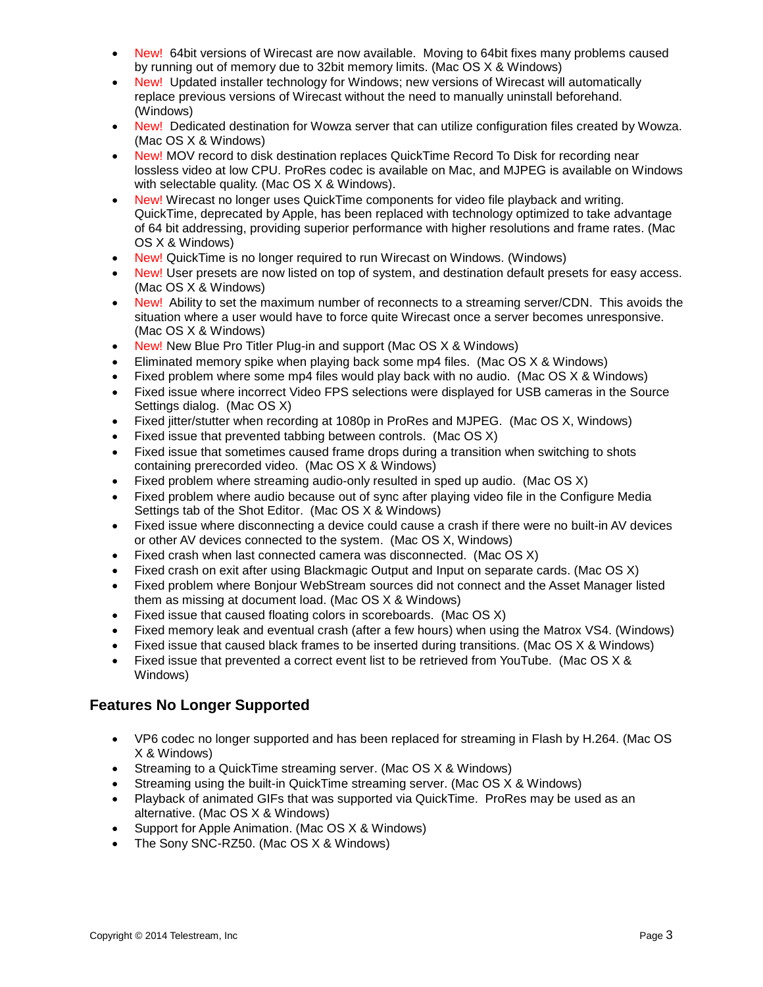- New! 64bit versions of Wirecast are now available. Moving to 64bit fixes many problems caused by running out of memory due to 32bit memory limits. (Mac OS X & Windows)
- New! Updated installer technology for Windows; new versions of Wirecast will automatically replace previous versions of Wirecast without the need to manually uninstall beforehand. (Windows)
- New! Dedicated destination for Wowza server that can utilize configuration files created by Wowza. (Mac OS X & Windows)
- New! MOV record to disk destination replaces QuickTime Record To Disk for recording near lossless video at low CPU. ProRes codec is available on Mac, and MJPEG is available on Windows with selectable quality. (Mac OS X & Windows).
- New! Wirecast no longer uses QuickTime components for video file playback and writing. QuickTime, deprecated by Apple, has been replaced with technology optimized to take advantage of 64 bit addressing, providing superior performance with higher resolutions and frame rates. (Mac OS X & Windows)
- New! QuickTime is no longer required to run Wirecast on Windows. (Windows)
- New! User presets are now listed on top of system, and destination default presets for easy access. (Mac OS X & Windows)
- New! Ability to set the maximum number of reconnects to a streaming server/CDN. This avoids the situation where a user would have to force quite Wirecast once a server becomes unresponsive. (Mac OS X & Windows)
- New! New Blue Pro Titler Plug-in and support (Mac OS X & Windows)
- Eliminated memory spike when playing back some mp4 files. (Mac OS X & Windows)
- Fixed problem where some mp4 files would play back with no audio. (Mac OS X & Windows)
- Fixed issue where incorrect Video FPS selections were displayed for USB cameras in the Source Settings dialog. (Mac OS X)
- Fixed jitter/stutter when recording at 1080p in ProRes and MJPEG. (Mac OS X, Windows)
- Fixed issue that prevented tabbing between controls. (Mac OS X)
- Fixed issue that sometimes caused frame drops during a transition when switching to shots containing prerecorded video. (Mac OS X & Windows)
- Fixed problem where streaming audio-only resulted in sped up audio. (Mac OS X)
- Fixed problem where audio because out of sync after playing video file in the Configure Media Settings tab of the Shot Editor. (Mac OS X & Windows)
- Fixed issue where disconnecting a device could cause a crash if there were no built-in AV devices or other AV devices connected to the system. (Mac OS X, Windows)
- Fixed crash when last connected camera was disconnected. (Mac OS X)
- Fixed crash on exit after using Blackmagic Output and Input on separate cards. (Mac OS X)
- Fixed problem where Bonjour WebStream sources did not connect and the Asset Manager listed them as missing at document load. (Mac OS X & Windows)
- Fixed issue that caused floating colors in scoreboards. (Mac OS X)
- Fixed memory leak and eventual crash (after a few hours) when using the Matrox VS4. (Windows)
- Fixed issue that caused black frames to be inserted during transitions. (Mac OS X & Windows)
- Fixed issue that prevented a correct event list to be retrieved from YouTube. (Mac OS X & Windows)

## **Features No Longer Supported**

- VP6 codec no longer supported and has been replaced for streaming in Flash by H.264. (Mac OS X & Windows)
- Streaming to a QuickTime streaming server. (Mac OS X & Windows)
- Streaming using the built-in QuickTime streaming server. (Mac OS X & Windows)
- Playback of animated GIFs that was supported via QuickTime. ProRes may be used as an alternative. (Mac OS X & Windows)
- Support for Apple Animation. (Mac OS X & Windows)
- The Sony SNC-RZ50. (Mac OS X & Windows)